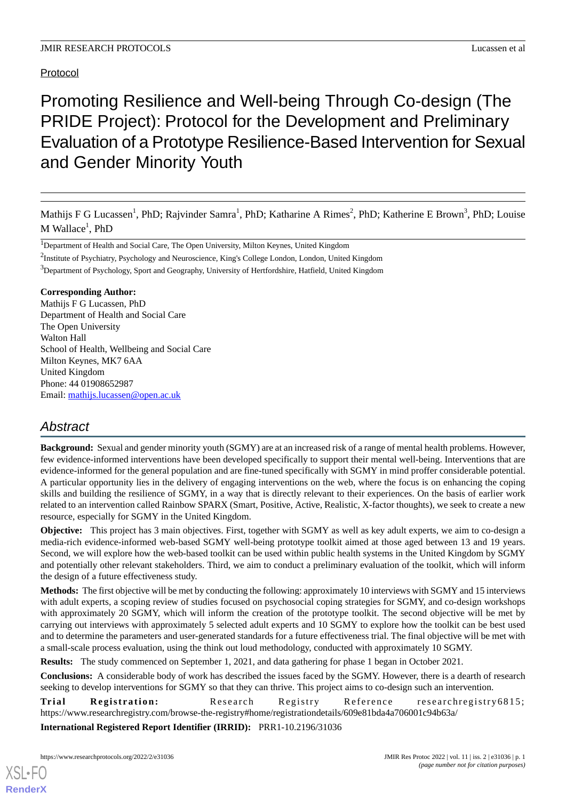## Protocol

# Promoting Resilience and Well-being Through Co-design (The PRIDE Project): Protocol for the Development and Preliminary Evaluation of a Prototype Resilience-Based Intervention for Sexual and Gender Minority Youth

Mathijs F G Lucassen<sup>1</sup>, PhD; Rajvinder Samra<sup>1</sup>, PhD; Katharine A Rimes<sup>2</sup>, PhD; Katherine E Brown<sup>3</sup>, PhD; Louise  $M$  Wallace $^1$ , PhD

<sup>1</sup>Department of Health and Social Care, The Open University, Milton Keynes, United Kingdom

<sup>2</sup>Institute of Psychiatry, Psychology and Neuroscience, King's College London, London, United Kingdom

<sup>3</sup>Department of Psychology, Sport and Geography, University of Hertfordshire, Hatfield, United Kingdom

## **Corresponding Author:**

Mathijs F G Lucassen, PhD Department of Health and Social Care The Open University Walton Hall School of Health, Wellbeing and Social Care Milton Keynes, MK7 6AA United Kingdom Phone: 44 01908652987 Email: [mathijs.lucassen@open.ac.uk](mailto:mathijs.lucassen@open.ac.uk)

# *Abstract*

**Background:** Sexual and gender minority youth (SGMY) are at an increased risk of a range of mental health problems. However, few evidence-informed interventions have been developed specifically to support their mental well-being. Interventions that are evidence-informed for the general population and are fine-tuned specifically with SGMY in mind proffer considerable potential. A particular opportunity lies in the delivery of engaging interventions on the web, where the focus is on enhancing the coping skills and building the resilience of SGMY, in a way that is directly relevant to their experiences. On the basis of earlier work related to an intervention called Rainbow SPARX (Smart, Positive, Active, Realistic, X-factor thoughts), we seek to create a new resource, especially for SGMY in the United Kingdom.

**Objective:** This project has 3 main objectives. First, together with SGMY as well as key adult experts, we aim to co-design a media-rich evidence-informed web-based SGMY well-being prototype toolkit aimed at those aged between 13 and 19 years. Second, we will explore how the web-based toolkit can be used within public health systems in the United Kingdom by SGMY and potentially other relevant stakeholders. Third, we aim to conduct a preliminary evaluation of the toolkit, which will inform the design of a future effectiveness study.

**Methods:** The first objective will be met by conducting the following: approximately 10 interviews with SGMY and 15 interviews with adult experts, a scoping review of studies focused on psychosocial coping strategies for SGMY, and co-design workshops with approximately 20 SGMY, which will inform the creation of the prototype toolkit. The second objective will be met by carrying out interviews with approximately 5 selected adult experts and 10 SGMY to explore how the toolkit can be best used and to determine the parameters and user-generated standards for a future effectiveness trial. The final objective will be met with a small-scale process evaluation, using the think out loud methodology, conducted with approximately 10 SGMY.

**Results:** The study commenced on September 1, 2021, and data gathering for phase 1 began in October 2021.

**Conclusions:** A considerable body of work has described the issues faced by the SGMY. However, there is a dearth of research seeking to develop interventions for SGMY so that they can thrive. This project aims to co-design such an intervention.

**Trial Registration:** Research Registry Reference researchregistry6815; https://www.researchregistry.com/browse-the-registry#home/registrationdetails/609e81bda4a706001c94b63a/

**International Registered Report Identifier (IRRID):** PRR1-10.2196/31036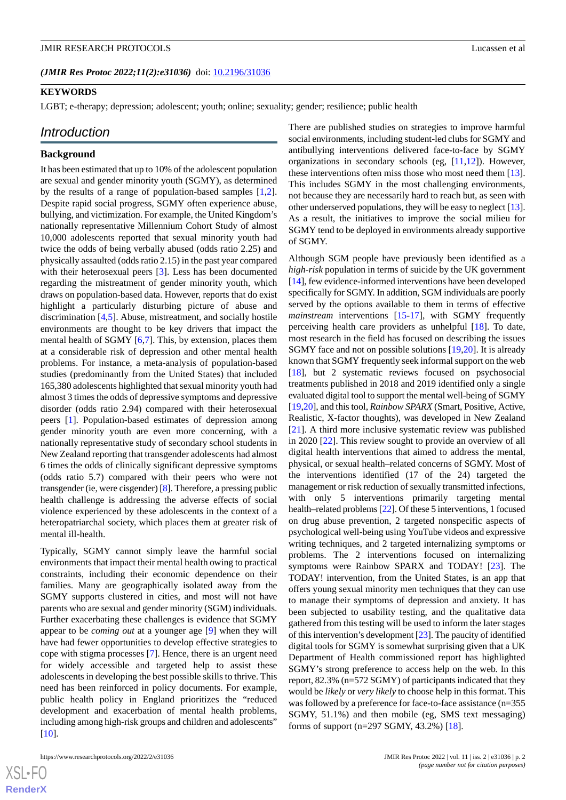(JMIR Res Protoc 2022;11(2):e31036) doi: [10.2196/31036](http://dx.doi.org/10.2196/31036)

#### **KEYWORDS**

LGBT; e-therapy; depression; adolescent; youth; online; sexuality; gender; resilience; public health

## *Introduction*

#### **Background**

It has been estimated that up to 10% of the adolescent population are sexual and gender minority youth (SGMY), as determined by the results of a range of population-based samples [\[1](#page-10-0),[2\]](#page-10-1). Despite rapid social progress, SGMY often experience abuse, bullying, and victimization. For example, the United Kingdom's nationally representative Millennium Cohort Study of almost 10,000 adolescents reported that sexual minority youth had twice the odds of being verbally abused (odds ratio 2.25) and physically assaulted (odds ratio 2.15) in the past year compared with their heterosexual peers [\[3](#page-10-2)]. Less has been documented regarding the mistreatment of gender minority youth, which draws on population-based data. However, reports that do exist highlight a particularly disturbing picture of abuse and discrimination [\[4](#page-10-3),[5\]](#page-10-4). Abuse, mistreatment, and socially hostile environments are thought to be key drivers that impact the mental health of SGMY [[6](#page-10-5)[,7](#page-10-6)]. This, by extension, places them at a considerable risk of depression and other mental health problems. For instance, a meta-analysis of population-based studies (predominantly from the United States) that included 165,380 adolescents highlighted that sexual minority youth had almost 3 times the odds of depressive symptoms and depressive disorder (odds ratio 2.94) compared with their heterosexual peers [[1\]](#page-10-0). Population-based estimates of depression among gender minority youth are even more concerning, with a nationally representative study of secondary school students in New Zealand reporting that transgender adolescents had almost 6 times the odds of clinically significant depressive symptoms (odds ratio 5.7) compared with their peers who were not transgender (ie, were cisgender) [\[8](#page-10-7)]. Therefore, a pressing public health challenge is addressing the adverse effects of social violence experienced by these adolescents in the context of a heteropatriarchal society, which places them at greater risk of mental ill-health.

Typically, SGMY cannot simply leave the harmful social environments that impact their mental health owing to practical constraints, including their economic dependence on their families. Many are geographically isolated away from the SGMY supports clustered in cities, and most will not have parents who are sexual and gender minority (SGM) individuals. Further exacerbating these challenges is evidence that SGMY appear to be *coming out* at a younger age [\[9](#page-10-8)] when they will have had fewer opportunities to develop effective strategies to cope with stigma processes [[7](#page-10-6)]. Hence, there is an urgent need for widely accessible and targeted help to assist these adolescents in developing the best possible skills to thrive. This need has been reinforced in policy documents. For example, public health policy in England prioritizes the "reduced development and exacerbation of mental health problems, including among high-risk groups and children and adolescents" [[10\]](#page-11-0).

 $XS$  • FO **[RenderX](http://www.renderx.com/)** There are published studies on strategies to improve harmful social environments, including student-led clubs for SGMY and antibullying interventions delivered face-to-face by SGMY organizations in secondary schools (eg, [\[11](#page-11-1),[12\]](#page-11-2)). However, these interventions often miss those who most need them [[13\]](#page-11-3). This includes SGMY in the most challenging environments, not because they are necessarily hard to reach but, as seen with other underserved populations, they will be easy to neglect [\[13\]](#page-11-3). As a result, the initiatives to improve the social milieu for SGMY tend to be deployed in environments already supportive of SGMY.

Although SGM people have previously been identified as a *high-risk* population in terms of suicide by the UK government [[14\]](#page-11-4), few evidence-informed interventions have been developed specifically for SGMY. In addition, SGM individuals are poorly served by the options available to them in terms of effective *mainstream* interventions [[15](#page-11-5)[-17](#page-11-6)], with SGMY frequently perceiving health care providers as unhelpful [\[18](#page-11-7)]. To date, most research in the field has focused on describing the issues SGMY face and not on possible solutions [\[19](#page-11-8),[20\]](#page-11-9). It is already known that SGMY frequently seek informal support on the web [[18\]](#page-11-7), but 2 systematic reviews focused on psychosocial treatments published in 2018 and 2019 identified only a single evaluated digital tool to support the mental well-being of SGMY [[19](#page-11-8)[,20](#page-11-9)], and this tool, *Rainbow SPARX* (Smart, Positive, Active, Realistic, X-factor thoughts), was developed in New Zealand [[21\]](#page-11-10). A third more inclusive systematic review was published in 2020 [[22\]](#page-11-11). This review sought to provide an overview of all digital health interventions that aimed to address the mental, physical, or sexual health–related concerns of SGMY. Most of the interventions identified (17 of the 24) targeted the management or risk reduction of sexually transmitted infections, with only 5 interventions primarily targeting mental health–related problems [\[22](#page-11-11)]. Of these 5 interventions, 1 focused on drug abuse prevention, 2 targeted nonspecific aspects of psychological well-being using YouTube videos and expressive writing techniques, and 2 targeted internalizing symptoms or problems. The 2 interventions focused on internalizing symptoms were Rainbow SPARX and TODAY! [\[23](#page-11-12)]. The TODAY! intervention, from the United States, is an app that offers young sexual minority men techniques that they can use to manage their symptoms of depression and anxiety. It has been subjected to usability testing, and the qualitative data gathered from this testing will be used to inform the later stages of this intervention's development [\[23](#page-11-12)]. The paucity of identified digital tools for SGMY is somewhat surprising given that a UK Department of Health commissioned report has highlighted SGMY's strong preference to access help on the web. In this report, 82.3% (n=572 SGMY) of participants indicated that they would be *likely* or *very likely* to choose help in this format. This was followed by a preference for face-to-face assistance (n=355 SGMY, 51.1%) and then mobile (eg, SMS text messaging) forms of support (n=297 SGMY, 43.2%) [[18\]](#page-11-7).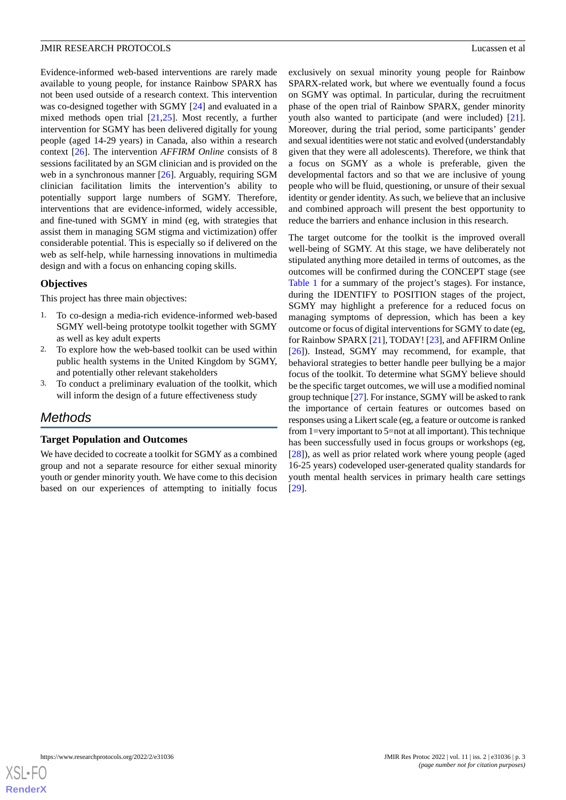Evidence-informed web-based interventions are rarely made available to young people, for instance Rainbow SPARX has not been used outside of a research context. This intervention was co-designed together with SGMY [[24\]](#page-11-13) and evaluated in a mixed methods open trial [[21,](#page-11-10)[25](#page-11-14)]. Most recently, a further intervention for SGMY has been delivered digitally for young people (aged 14-29 years) in Canada, also within a research context [[26\]](#page-11-15). The intervention *AFFIRM Online* consists of 8 sessions facilitated by an SGM clinician and is provided on the web in a synchronous manner [[26\]](#page-11-15). Arguably, requiring SGM clinician facilitation limits the intervention's ability to potentially support large numbers of SGMY. Therefore, interventions that are evidence-informed, widely accessible, and fine-tuned with SGMY in mind (eg, with strategies that assist them in managing SGM stigma and victimization) offer considerable potential. This is especially so if delivered on the web as self-help, while harnessing innovations in multimedia design and with a focus on enhancing coping skills.

#### **Objectives**

This project has three main objectives:

- 1. To co-design a media-rich evidence-informed web-based SGMY well-being prototype toolkit together with SGMY as well as key adult experts
- 2. To explore how the web-based toolkit can be used within public health systems in the United Kingdom by SGMY, and potentially other relevant stakeholders
- 3. To conduct a preliminary evaluation of the toolkit, which will inform the design of a future effectiveness study

# *Methods*

#### **Target Population and Outcomes**

We have decided to cocreate a toolkit for SGMY as a combined group and not a separate resource for either sexual minority youth or gender minority youth. We have come to this decision based on our experiences of attempting to initially focus

exclusively on sexual minority young people for Rainbow SPARX-related work, but where we eventually found a focus on SGMY was optimal. In particular, during the recruitment phase of the open trial of Rainbow SPARX, gender minority youth also wanted to participate (and were included) [[21\]](#page-11-10). Moreover, during the trial period, some participants' gender and sexual identities were not static and evolved (understandably given that they were all adolescents). Therefore, we think that a focus on SGMY as a whole is preferable, given the developmental factors and so that we are inclusive of young people who will be fluid, questioning, or unsure of their sexual identity or gender identity. As such, we believe that an inclusive and combined approach will present the best opportunity to reduce the barriers and enhance inclusion in this research.

The target outcome for the toolkit is the improved overall well-being of SGMY. At this stage, we have deliberately not stipulated anything more detailed in terms of outcomes, as the outcomes will be confirmed during the CONCEPT stage (see [Table 1](#page-3-0) for a summary of the project's stages). For instance, during the IDENTIFY to POSITION stages of the project, SGMY may highlight a preference for a reduced focus on managing symptoms of depression, which has been a key outcome or focus of digital interventions for SGMY to date (eg, for Rainbow SPARX [[21\]](#page-11-10), TODAY! [[23\]](#page-11-12), and AFFIRM Online [[26\]](#page-11-15)). Instead, SGMY may recommend, for example, that behavioral strategies to better handle peer bullying be a major focus of the toolkit. To determine what SGMY believe should be the specific target outcomes, we will use a modified nominal group technique [\[27](#page-11-16)]. For instance, SGMY will be asked to rank the importance of certain features or outcomes based on responses using a Likert scale (eg, a feature or outcome is ranked from 1=very important to 5=not at all important). This technique has been successfully used in focus groups or workshops (eg, [[28\]](#page-11-17)), as well as prior related work where young people (aged 16-25 years) codeveloped user-generated quality standards for youth mental health services in primary health care settings [[29\]](#page-11-18).

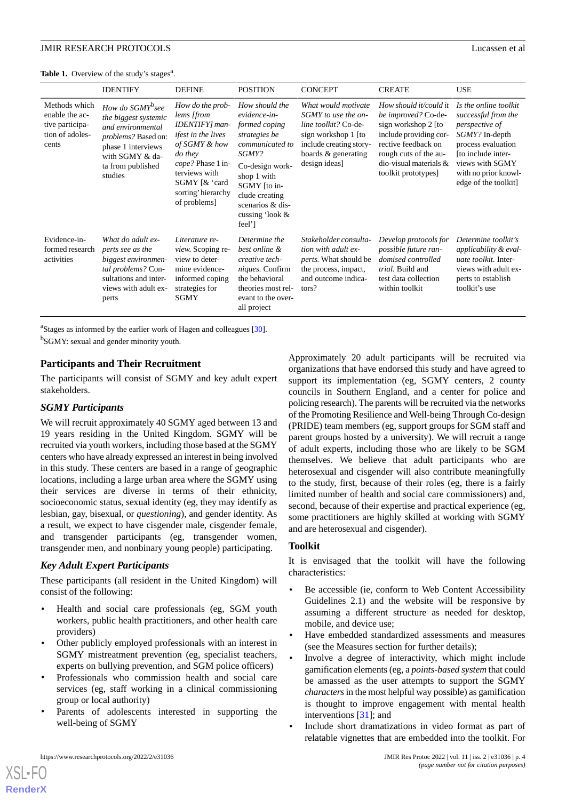<span id="page-3-0"></span>

|                                                                                | <b>IDENTIFY</b>                                                                                                                                                                  | <b>DEFINE</b>                                                                                                                                                                                           | <b>POSITION</b>                                                                                                                                                                                                      | <b>CONCEPT</b>                                                                                                                                               | <b>CREATE</b>                                                                                                                                                                                     | <b>USE</b>                                                                                                                                                                                      |  |
|--------------------------------------------------------------------------------|----------------------------------------------------------------------------------------------------------------------------------------------------------------------------------|---------------------------------------------------------------------------------------------------------------------------------------------------------------------------------------------------------|----------------------------------------------------------------------------------------------------------------------------------------------------------------------------------------------------------------------|--------------------------------------------------------------------------------------------------------------------------------------------------------------|---------------------------------------------------------------------------------------------------------------------------------------------------------------------------------------------------|-------------------------------------------------------------------------------------------------------------------------------------------------------------------------------------------------|--|
| Methods which<br>enable the ac-<br>tive participa-<br>tion of adoles-<br>cents | How do SGMY <sup>b</sup> see<br>the biggest systemic<br>and environmental<br><i>problems?</i> Based on:<br>phase 1 interviews<br>with SGMY & da-<br>ta from published<br>studies | How do the prob-<br>lems [from<br>IDENTIFY] man-<br><i>ifest in the lives</i><br>of SGMY & how<br>do they<br>cope? Phase 1 in-<br>terviews with<br>SGMY [ & 'card<br>sorting' hierarchy<br>of problems] | How should the<br>evidence-in-<br>formed coping<br>strategies be<br>communicated to<br>SGMY?<br>Co-design work-<br>shop 1 with<br>SGMY [to in-<br>clude creating<br>scenarios & dis-<br>cussing 'look $\&$<br>feel'] | What would motivate<br>SGMY to use the on-<br>line toolkit? Co-de-<br>sign workshop 1 [to<br>include creating story-<br>boards & generating<br>design ideas] | How should it/could it<br>be improved? Co-de-<br>sign workshop 2 [to<br>include providing cor-<br>rective feedback on<br>rough cuts of the au-<br>dio-visual materials $&$<br>toolkit prototypes] | Is the online toolkit<br>successful from the<br>perspective of<br>SGMY? In-depth<br>process evaluation<br>[to include inter-<br>views with SGMY<br>with no prior knowl-<br>edge of the toolkit] |  |
| Evidence-in-<br>formed research<br>activities                                  | What do adult ex-<br>perts see as the<br>biggest environmen-<br>tal problems? Con-<br>sultations and inter-<br>views with adult ex-<br>perts                                     | Literature re-<br><i>view.</i> Scoping re-<br>view to deter-<br>mine evidence-<br>informed coping<br>strategies for<br>SGMY                                                                             | Determine the<br>best online &<br>creative tech-<br>niques. Confirm<br>the behavioral<br>theories most rel-<br>evant to the over-<br>all project                                                                     | Stakeholder consulta-<br>tion with adult ex-<br>perts. What should be<br>the process, impact,<br>and outcome indica-<br>tors?                                | Develop protocols for<br>possible future ran-<br>domised controlled<br>trial. Build and<br>test data collection<br>within toolkit                                                                 | Determine toolkit's<br>applicability & eval-<br><i>uate toolkit.</i> Inter-<br>views with adult ex-<br>perts to establish<br>toolkit's use                                                      |  |

<sup>a</sup>Stages as informed by the earlier work of Hagen and colleagues [[30](#page-11-19)].

<sup>b</sup>SGMY: sexual and gender minority youth.

#### **Participants and Their Recruitment**

The participants will consist of SGMY and key adult expert stakeholders.

#### *SGMY Participants*

We will recruit approximately 40 SGMY aged between 13 and 19 years residing in the United Kingdom. SGMY will be recruited via youth workers, including those based at the SGMY centers who have already expressed an interest in being involved in this study. These centers are based in a range of geographic locations, including a large urban area where the SGMY using their services are diverse in terms of their ethnicity, socioeconomic status, sexual identity (eg, they may identify as lesbian, gay, bisexual, or *questioning*), and gender identity. As a result, we expect to have cisgender male, cisgender female, and transgender participants (eg, transgender women, transgender men, and nonbinary young people) participating.

#### *Key Adult Expert Participants*

These participants (all resident in the United Kingdom) will consist of the following:

- Health and social care professionals (eg, SGM youth workers, public health practitioners, and other health care providers)
- Other publicly employed professionals with an interest in SGMY mistreatment prevention (eg, specialist teachers, experts on bullying prevention, and SGM police officers)
- Professionals who commission health and social care services (eg, staff working in a clinical commissioning group or local authority)
- Parents of adolescents interested in supporting the well-being of SGMY

Approximately 20 adult participants will be recruited via organizations that have endorsed this study and have agreed to support its implementation (eg, SGMY centers, 2 county councils in Southern England, and a center for police and policing research). The parents will be recruited via the networks of the Promoting Resilience and Well-being Through Co-design (PRIDE) team members (eg, support groups for SGM staff and parent groups hosted by a university). We will recruit a range of adult experts, including those who are likely to be SGM themselves. We believe that adult participants who are heterosexual and cisgender will also contribute meaningfully to the study, first, because of their roles (eg, there is a fairly limited number of health and social care commissioners) and, second, because of their expertise and practical experience (eg, some practitioners are highly skilled at working with SGMY and are heterosexual and cisgender).

#### **Toolkit**

It is envisaged that the toolkit will have the following characteristics:

- Be accessible (ie, conform to Web Content Accessibility Guidelines 2.1) and the website will be responsive by assuming a different structure as needed for desktop, mobile, and device use;
- Have embedded standardized assessments and measures (see the Measures section for further details);
- Involve a degree of interactivity, which might include gamification elements (eg, a *points-based system* that could be amassed as the user attempts to support the SGMY *characters*in the most helpful way possible) as gamification is thought to improve engagement with mental health interventions [\[31](#page-11-20)]; and
- Include short dramatizations in video format as part of relatable vignettes that are embedded into the toolkit. For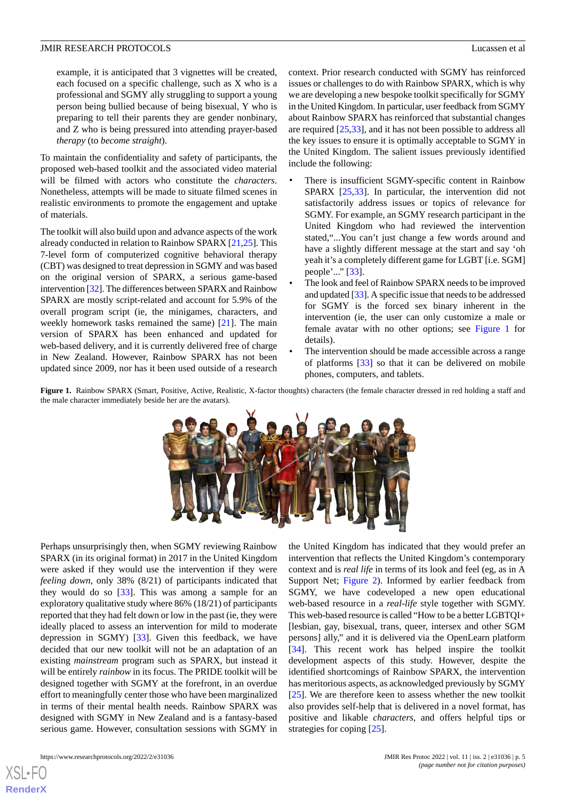example, it is anticipated that 3 vignettes will be created, each focused on a specific challenge, such as X who is a professional and SGMY ally struggling to support a young person being bullied because of being bisexual, Y who is preparing to tell their parents they are gender nonbinary, and Z who is being pressured into attending prayer-based *therapy* (to *become straight*).

To maintain the confidentiality and safety of participants, the proposed web-based toolkit and the associated video material will be filmed with actors who constitute the *characters*. Nonetheless, attempts will be made to situate filmed scenes in realistic environments to promote the engagement and uptake of materials.

The toolkit will also build upon and advance aspects of the work already conducted in relation to Rainbow SPARX [[21,](#page-11-10)[25](#page-11-14)]. This 7-level form of computerized cognitive behavioral therapy (CBT) was designed to treat depression in SGMY and was based on the original version of SPARX, a serious game-based intervention [\[32](#page-12-0)]. The differences between SPARX and Rainbow SPARX are mostly script-related and account for 5.9% of the overall program script (ie, the minigames, characters, and weekly homework tasks remained the same) [[21\]](#page-11-10). The main version of SPARX has been enhanced and updated for web-based delivery, and it is currently delivered free of charge in New Zealand. However, Rainbow SPARX has not been updated since 2009, nor has it been used outside of a research context. Prior research conducted with SGMY has reinforced issues or challenges to do with Rainbow SPARX, which is why we are developing a new bespoke toolkit specifically for SGMY in the United Kingdom. In particular, user feedback from SGMY about Rainbow SPARX has reinforced that substantial changes are required [\[25](#page-11-14),[33\]](#page-12-1), and it has not been possible to address all the key issues to ensure it is optimally acceptable to SGMY in the United Kingdom. The salient issues previously identified include the following:

- There is insufficient SGMY-specific content in Rainbow SPARX [\[25](#page-11-14),[33\]](#page-12-1). In particular, the intervention did not satisfactorily address issues or topics of relevance for SGMY. For example, an SGMY research participant in the United Kingdom who had reviewed the intervention stated,"...You can't just change a few words around and have a slightly different message at the start and say 'oh yeah it's a completely different game for LGBT [i.e. SGM] people'..." [[33\]](#page-12-1).
- The look and feel of Rainbow SPARX needs to be improved and updated [[33\]](#page-12-1). A specific issue that needs to be addressed for SGMY is the forced sex binary inherent in the intervention (ie, the user can only customize a male or female avatar with no other options; see [Figure 1](#page-4-0) for details).
- The intervention should be made accessible across a range of platforms [[33\]](#page-12-1) so that it can be delivered on mobile phones, computers, and tablets.

<span id="page-4-0"></span>Figure 1. Rainbow SPARX (Smart, Positive, Active, Realistic, X-factor thoughts) characters (the female character dressed in red holding a staff and the male character immediately beside her are the avatars).



Perhaps unsurprisingly then, when SGMY reviewing Rainbow SPARX (in its original format) in 2017 in the United Kingdom were asked if they would use the intervention if they were *feeling down*, only 38% (8/21) of participants indicated that they would do so [[33\]](#page-12-1). This was among a sample for an exploratory qualitative study where 86% (18/21) of participants reported that they had felt down or low in the past (ie, they were ideally placed to assess an intervention for mild to moderate depression in SGMY) [[33\]](#page-12-1). Given this feedback, we have decided that our new toolkit will not be an adaptation of an existing *mainstream* program such as SPARX, but instead it will be entirely *rainbow* in its focus. The PRIDE toolkit will be designed together with SGMY at the forefront, in an overdue effort to meaningfully center those who have been marginalized in terms of their mental health needs. Rainbow SPARX was designed with SGMY in New Zealand and is a fantasy-based serious game. However, consultation sessions with SGMY in

intervention that reflects the United Kingdom's contemporary context and is *real life* in terms of its look and feel (eg, as in A Support Net; [Figure 2\)](#page-5-0). Informed by earlier feedback from SGMY, we have codeveloped a new open educational web-based resource in a *real-life* style together with SGMY. This web-based resource is called "How to be a better LGBTQI+ [lesbian, gay, bisexual, trans, queer, intersex and other SGM persons] ally," and it is delivered via the OpenLearn platform [[34\]](#page-12-2). This recent work has helped inspire the toolkit development aspects of this study. However, despite the identified shortcomings of Rainbow SPARX, the intervention has meritorious aspects, as acknowledged previously by SGMY [[25\]](#page-11-14). We are therefore keen to assess whether the new toolkit also provides self-help that is delivered in a novel format, has positive and likable *characters*, and offers helpful tips or strategies for coping [[25\]](#page-11-14).

the United Kingdom has indicated that they would prefer an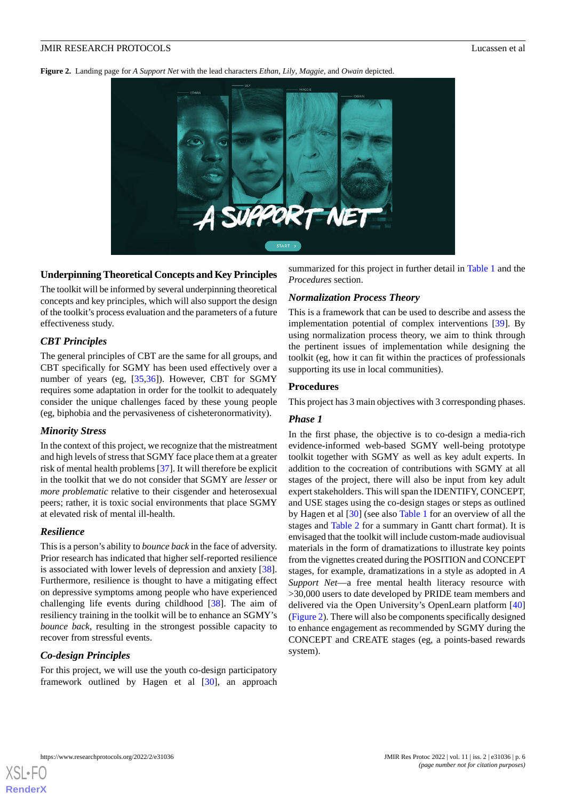<span id="page-5-0"></span>**Figure 2.** Landing page for *A Support Net* with the lead characters *Ethan*, *Lily*, *Maggie*, and *Owain* depicted.



## **Underpinning Theoretical Concepts and Key Principles**

The toolkit will be informed by several underpinning theoretical concepts and key principles, which will also support the design of the toolkit's process evaluation and the parameters of a future effectiveness study.

## *CBT Principles*

The general principles of CBT are the same for all groups, and CBT specifically for SGMY has been used effectively over a number of years (eg, [\[35](#page-12-3),[36\]](#page-12-4)). However, CBT for SGMY requires some adaptation in order for the toolkit to adequately consider the unique challenges faced by these young people (eg, biphobia and the pervasiveness of cisheteronormativity).

#### *Minority Stress*

In the context of this project, we recognize that the mistreatment and high levels of stress that SGMY face place them at a greater risk of mental health problems [\[37](#page-12-5)]. It will therefore be explicit in the toolkit that we do not consider that SGMY are *lesser* or *more problematic* relative to their cisgender and heterosexual peers; rather, it is toxic social environments that place SGMY at elevated risk of mental ill-health.

#### *Resilience*

This is a person's ability to *bounce back* in the face of adversity. Prior research has indicated that higher self-reported resilience is associated with lower levels of depression and anxiety [[38\]](#page-12-6). Furthermore, resilience is thought to have a mitigating effect on depressive symptoms among people who have experienced challenging life events during childhood [[38\]](#page-12-6). The aim of resiliency training in the toolkit will be to enhance an SGMY's *bounce back*, resulting in the strongest possible capacity to recover from stressful events.

## *Co-design Principles*

For this project, we will use the youth co-design participatory framework outlined by Hagen et al [[30\]](#page-11-19), an approach summarized for this project in further detail in [Table 1](#page-3-0) and the *Procedures* section.

## *Normalization Process Theory*

This is a framework that can be used to describe and assess the implementation potential of complex interventions [[39\]](#page-12-7). By using normalization process theory, we aim to think through the pertinent issues of implementation while designing the toolkit (eg, how it can fit within the practices of professionals supporting its use in local communities).

#### **Procedures**

This project has 3 main objectives with 3 corresponding phases.

#### *Phase 1*

In the first phase, the objective is to co-design a media-rich evidence-informed web-based SGMY well-being prototype toolkit together with SGMY as well as key adult experts. In addition to the cocreation of contributions with SGMY at all stages of the project, there will also be input from key adult expert stakeholders. This will span the IDENTIFY, CONCEPT, and USE stages using the co-design stages or steps as outlined by Hagen et al [\[30](#page-11-19)] (see also [Table 1](#page-3-0) for an overview of all the stages and [Table 2](#page-6-0) for a summary in Gantt chart format). It is envisaged that the toolkit will include custom-made audiovisual materials in the form of dramatizations to illustrate key points from the vignettes created during the POSITION and CONCEPT stages, for example, dramatizations in a style as adopted in *A Support Net*—a free mental health literacy resource with >30,000 users to date developed by PRIDE team members and delivered via the Open University's OpenLearn platform [\[40](#page-12-8)] ([Figure 2\)](#page-5-0). There will also be components specifically designed to enhance engagement as recommended by SGMY during the CONCEPT and CREATE stages (eg, a points-based rewards system).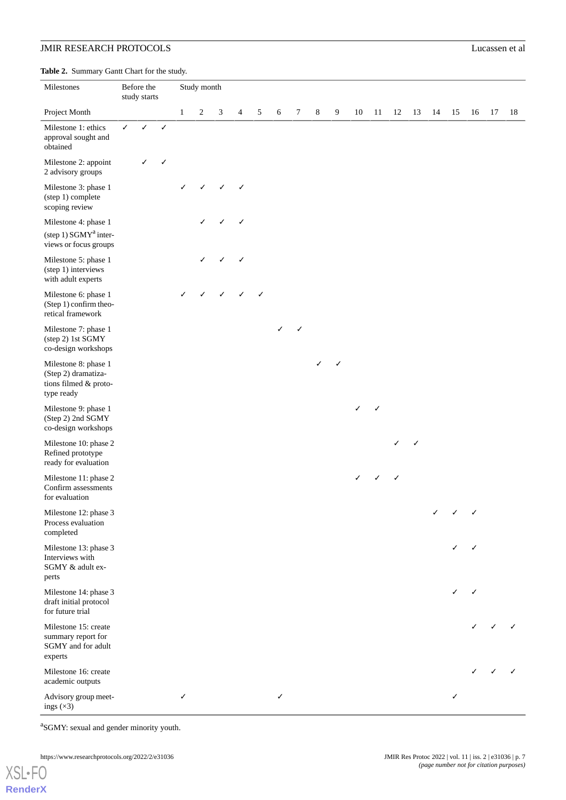<span id="page-6-0"></span>**Table 2.** Summary Gantt Chart for the study.

| <b>rapic 2.</b> Building Saint Chart for the study.<br>Milestones                  | Before the<br>study starts |            | Study month  |              |                |   |                |   |   |        |   |   |    |    |    |    |    |    |    |              |    |
|------------------------------------------------------------------------------------|----------------------------|------------|--------------|--------------|----------------|---|----------------|---|---|--------|---|---|----|----|----|----|----|----|----|--------------|----|
| Project Month                                                                      |                            |            |              | $\mathbf{1}$ | $\overline{c}$ | 3 | $\overline{4}$ | 5 | 6 | $\tau$ | 8 | 9 | 10 | 11 | 12 | 13 | 14 | 15 | 16 | 17           | 18 |
| Milestone 1: ethics<br>approval sought and<br>obtained                             | $\checkmark$               | $\sqrt{2}$ | $\checkmark$ |              |                |   |                |   |   |        |   |   |    |    |    |    |    |    |    |              |    |
| Milestone 2: appoint<br>2 advisory groups                                          |                            | ✓          | ✓            |              |                |   |                |   |   |        |   |   |    |    |    |    |    |    |    |              |    |
| Milestone 3: phase 1<br>(step 1) complete<br>scoping review                        |                            |            |              | ✓            |                |   |                |   |   |        |   |   |    |    |    |    |    |    |    |              |    |
| Milestone 4: phase 1<br>(step 1) SGMY <sup>a</sup> inter-<br>views or focus groups |                            |            |              |              |                |   | √              |   |   |        |   |   |    |    |    |    |    |    |    |              |    |
| Milestone 5: phase 1<br>(step 1) interviews<br>with adult experts                  |                            |            |              |              |                |   |                |   |   |        |   |   |    |    |    |    |    |    |    |              |    |
| Milestone 6: phase 1<br>(Step 1) confirm theo-<br>retical framework                |                            |            |              |              |                |   |                |   |   |        |   |   |    |    |    |    |    |    |    |              |    |
| Milestone 7: phase 1<br>(step 2) 1st SGMY<br>co-design workshops                   |                            |            |              |              |                |   |                |   | ✓ | ✓      |   |   |    |    |    |    |    |    |    |              |    |
| Milestone 8: phase 1<br>(Step 2) dramatiza-<br>tions filmed & proto-<br>type ready |                            |            |              |              |                |   |                |   |   |        | ✓ |   |    |    |    |    |    |    |    |              |    |
| Milestone 9: phase 1<br>(Step 2) 2nd SGMY<br>co-design workshops                   |                            |            |              |              |                |   |                |   |   |        |   |   | ✓  |    |    |    |    |    |    |              |    |
| Milestone 10: phase 2<br>Refined prototype<br>ready for evaluation                 |                            |            |              |              |                |   |                |   |   |        |   |   |    |    | ✓  | ✓  |    |    |    |              |    |
| Milestone 11: phase 2<br>Confirm assessments<br>for evaluation                     |                            |            |              |              |                |   |                |   |   |        |   |   | ✓  |    | ✓  |    |    |    |    |              |    |
| Milestone 12: phase 3<br>Process evaluation<br>completed                           |                            |            |              |              |                |   |                |   |   |        |   |   |    |    |    |    |    |    |    |              |    |
| Milestone 13: phase 3<br>Interviews with<br>SGMY & adult ex-<br>perts              |                            |            |              |              |                |   |                |   |   |        |   |   |    |    |    |    |    |    |    |              |    |
| Milestone 14: phase 3<br>draft initial protocol<br>for future trial                |                            |            |              |              |                |   |                |   |   |        |   |   |    |    |    |    |    | ✓  | ✓  |              |    |
| Milestone 15: create<br>summary report for<br>SGMY and for adult<br>experts        |                            |            |              |              |                |   |                |   |   |        |   |   |    |    |    |    |    |    |    |              |    |
| Milestone 16: create<br>academic outputs                                           |                            |            |              |              |                |   |                |   |   |        |   |   |    |    |    |    |    |    |    | $\checkmark$ |    |
| Advisory group meet-<br>ings $(\times 3)$                                          |                            |            |              | ✓            |                |   |                |   | ✓ |        |   |   |    |    |    |    |    | ✓  |    |              |    |

<sup>a</sup>SGMY: sexual and gender minority youth.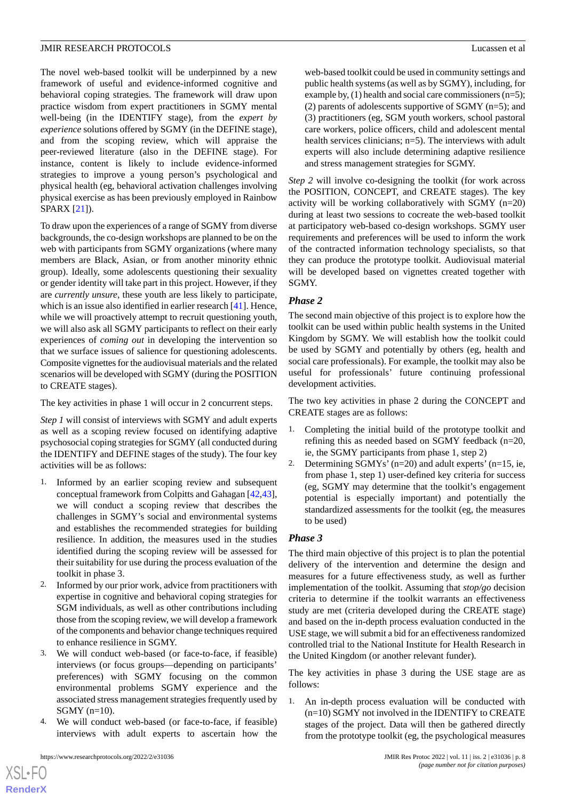The novel web-based toolkit will be underpinned by a new framework of useful and evidence-informed cognitive and behavioral coping strategies. The framework will draw upon practice wisdom from expert practitioners in SGMY mental well-being (in the IDENTIFY stage), from the *expert by experience* solutions offered by SGMY (in the DEFINE stage), and from the scoping review, which will appraise the peer-reviewed literature (also in the DEFINE stage). For instance, content is likely to include evidence-informed strategies to improve a young person's psychological and physical health (eg, behavioral activation challenges involving physical exercise as has been previously employed in Rainbow SPARX [[21\]](#page-11-10)).

To draw upon the experiences of a range of SGMY from diverse backgrounds, the co-design workshops are planned to be on the web with participants from SGMY organizations (where many members are Black, Asian, or from another minority ethnic group). Ideally, some adolescents questioning their sexuality or gender identity will take part in this project. However, if they are *currently unsure*, these youth are less likely to participate, which is an issue also identified in earlier research [[41\]](#page-12-9). Hence, while we will proactively attempt to recruit questioning youth, we will also ask all SGMY participants to reflect on their early experiences of *coming out* in developing the intervention so that we surface issues of salience for questioning adolescents. Composite vignettes for the audiovisual materials and the related scenarios will be developed with SGMY (during the POSITION to CREATE stages).

The key activities in phase 1 will occur in 2 concurrent steps.

*Step 1* will consist of interviews with SGMY and adult experts as well as a scoping review focused on identifying adaptive psychosocial coping strategies for SGMY (all conducted during the IDENTIFY and DEFINE stages of the study). The four key activities will be as follows:

- 1. Informed by an earlier scoping review and subsequent conceptual framework from Colpitts and Gahagan [\[42](#page-12-10),[43\]](#page-12-11), we will conduct a scoping review that describes the challenges in SGMY's social and environmental systems and establishes the recommended strategies for building resilience. In addition, the measures used in the studies identified during the scoping review will be assessed for their suitability for use during the process evaluation of the toolkit in phase 3.
- 2. Informed by our prior work, advice from practitioners with expertise in cognitive and behavioral coping strategies for SGM individuals, as well as other contributions including those from the scoping review, we will develop a framework of the components and behavior change techniques required to enhance resilience in SGMY.
- 3. We will conduct web-based (or face-to-face, if feasible) interviews (or focus groups—depending on participants' preferences) with SGMY focusing on the common environmental problems SGMY experience and the associated stress management strategies frequently used by SGMY (n=10).
- 4. We will conduct web-based (or face-to-face, if feasible) interviews with adult experts to ascertain how the

 $XS$  • FO **[RenderX](http://www.renderx.com/)** web-based toolkit could be used in community settings and public health systems (as well as by SGMY), including, for example by, (1) health and social care commissioners (n=5); (2) parents of adolescents supportive of SGMY  $(n=5)$ ; and (3) practitioners (eg, SGM youth workers, school pastoral care workers, police officers, child and adolescent mental health services clinicians; n=5). The interviews with adult experts will also include determining adaptive resilience and stress management strategies for SGMY.

*Step 2* will involve co-designing the toolkit (for work across the POSITION, CONCEPT, and CREATE stages). The key activity will be working collaboratively with SGMY (n=20) during at least two sessions to cocreate the web-based toolkit at participatory web-based co-design workshops. SGMY user requirements and preferences will be used to inform the work of the contracted information technology specialists, so that they can produce the prototype toolkit. Audiovisual material will be developed based on vignettes created together with SGMY.

## *Phase 2*

The second main objective of this project is to explore how the toolkit can be used within public health systems in the United Kingdom by SGMY. We will establish how the toolkit could be used by SGMY and potentially by others (eg, health and social care professionals). For example, the toolkit may also be useful for professionals' future continuing professional development activities.

The two key activities in phase 2 during the CONCEPT and CREATE stages are as follows:

- 1. Completing the initial build of the prototype toolkit and refining this as needed based on SGMY feedback (n=20, ie, the SGMY participants from phase 1, step 2)
- 2. Determining  $SGMYs' (n=20)$  and adult experts'  $(n=15, i.e.,$ from phase 1, step 1) user-defined key criteria for success (eg, SGMY may determine that the toolkit's engagement potential is especially important) and potentially the standardized assessments for the toolkit (eg, the measures to be used)

## *Phase 3*

The third main objective of this project is to plan the potential delivery of the intervention and determine the design and measures for a future effectiveness study, as well as further implementation of the toolkit. Assuming that *stop/go* decision criteria to determine if the toolkit warrants an effectiveness study are met (criteria developed during the CREATE stage) and based on the in-depth process evaluation conducted in the USE stage, we will submit a bid for an effectiveness randomized controlled trial to the National Institute for Health Research in the United Kingdom (or another relevant funder).

The key activities in phase 3 during the USE stage are as follows:

1. An in-depth process evaluation will be conducted with (n=10) SGMY not involved in the IDENTIFY to CREATE stages of the project. Data will then be gathered directly from the prototype toolkit (eg, the psychological measures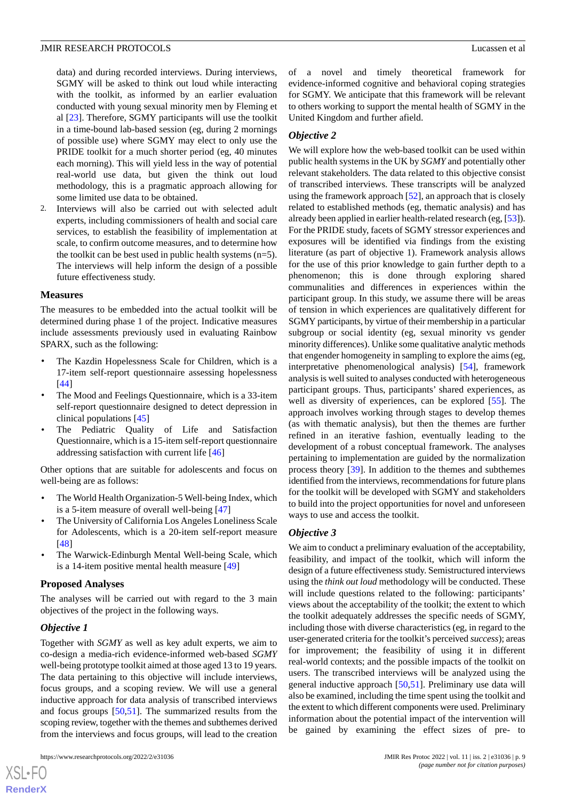data) and during recorded interviews. During interviews, SGMY will be asked to think out loud while interacting with the toolkit, as informed by an earlier evaluation conducted with young sexual minority men by Fleming et al [[23\]](#page-11-12). Therefore, SGMY participants will use the toolkit in a time-bound lab-based session (eg, during 2 mornings of possible use) where SGMY may elect to only use the PRIDE toolkit for a much shorter period (eg, 40 minutes each morning). This will yield less in the way of potential real-world use data, but given the think out loud methodology, this is a pragmatic approach allowing for some limited use data to be obtained.

2. Interviews will also be carried out with selected adult experts, including commissioners of health and social care services, to establish the feasibility of implementation at scale, to confirm outcome measures, and to determine how the toolkit can be best used in public health systems (n=5). The interviews will help inform the design of a possible future effectiveness study.

#### **Measures**

The measures to be embedded into the actual toolkit will be determined during phase 1 of the project. Indicative measures include assessments previously used in evaluating Rainbow SPARX, such as the following:

- The Kazdin Hopelessness Scale for Children, which is a 17-item self-report questionnaire assessing hopelessness [[44\]](#page-12-12)
- The Mood and Feelings Questionnaire, which is a 33-item self-report questionnaire designed to detect depression in clinical populations [[45\]](#page-12-13)
- The Pediatric Quality of Life and Satisfaction Questionnaire, which is a 15-item self-report questionnaire addressing satisfaction with current life [\[46](#page-12-14)]

Other options that are suitable for adolescents and focus on well-being are as follows:

- The World Health Organization-5 Well-being Index, which is a 5-item measure of overall well-being [[47\]](#page-12-15)
- The University of California Los Angeles Loneliness Scale for Adolescents, which is a 20-item self-report measure [[48\]](#page-12-16)
- The Warwick-Edinburgh Mental Well-being Scale, which is a 14-item positive mental health measure [[49\]](#page-12-17)

## **Proposed Analyses**

The analyses will be carried out with regard to the 3 main objectives of the project in the following ways.

## *Objective 1*

 $XS$  • FO **[RenderX](http://www.renderx.com/)**

Together with *SGMY* as well as key adult experts, we aim to co-design a media-rich evidence-informed web-based *SGMY* well-being prototype toolkit aimed at those aged 13 to 19 years*.* The data pertaining to this objective will include interviews, focus groups, and a scoping review. We will use a general inductive approach for data analysis of transcribed interviews and focus groups [\[50](#page-12-18),[51\]](#page-12-19). The summarized results from the scoping review, together with the themes and subthemes derived from the interviews and focus groups, will lead to the creation

of a novel and timely theoretical framework for evidence-informed cognitive and behavioral coping strategies for SGMY. We anticipate that this framework will be relevant to others working to support the mental health of SGMY in the United Kingdom and further afield.

## *Objective 2*

We will explore how the web-based toolkit can be used within public health systems in the UK by *SGMY*and potentially other relevant stakeholders*.* The data related to this objective consist of transcribed interviews. These transcripts will be analyzed using the framework approach  $[52]$  $[52]$ , an approach that is closely related to established methods (eg, thematic analysis) and has already been applied in earlier health-related research (eg, [[53\]](#page-12-21)). For the PRIDE study, facets of SGMY stressor experiences and exposures will be identified via findings from the existing literature (as part of objective 1). Framework analysis allows for the use of this prior knowledge to gain further depth to a phenomenon; this is done through exploring shared communalities and differences in experiences within the participant group. In this study, we assume there will be areas of tension in which experiences are qualitatively different for SGMY participants, by virtue of their membership in a particular subgroup or social identity (eg, sexual minority vs gender minority differences). Unlike some qualitative analytic methods that engender homogeneity in sampling to explore the aims (eg, interpretative phenomenological analysis) [\[54](#page-12-22)], framework analysis is well suited to analyses conducted with heterogeneous participant groups. Thus, participants' shared experiences, as well as diversity of experiences, can be explored [\[55](#page-13-0)]. The approach involves working through stages to develop themes (as with thematic analysis), but then the themes are further refined in an iterative fashion, eventually leading to the development of a robust conceptual framework. The analyses pertaining to implementation are guided by the normalization process theory [[39\]](#page-12-7). In addition to the themes and subthemes identified from the interviews, recommendations for future plans for the toolkit will be developed with SGMY and stakeholders to build into the project opportunities for novel and unforeseen ways to use and access the toolkit.

## *Objective 3*

We aim to conduct a preliminary evaluation of the acceptability, feasibility, and impact of the toolkit, which will inform the design of a future effectiveness study. Semistructured interviews using the *think out loud* methodology will be conducted. These will include questions related to the following: participants' views about the acceptability of the toolkit; the extent to which the toolkit adequately addresses the specific needs of SGMY, including those with diverse characteristics (eg, in regard to the user-generated criteria for the toolkit's perceived *success*); areas for improvement; the feasibility of using it in different real-world contexts; and the possible impacts of the toolkit on users. The transcribed interviews will be analyzed using the general inductive approach [\[50](#page-12-18),[51\]](#page-12-19). Preliminary use data will also be examined, including the time spent using the toolkit and the extent to which different components were used. Preliminary information about the potential impact of the intervention will be gained by examining the effect sizes of pre- to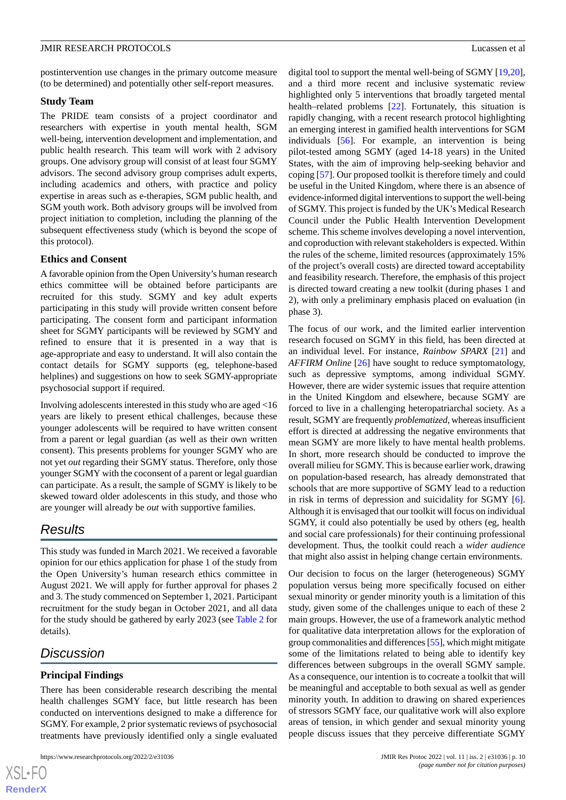postintervention use changes in the primary outcome measure (to be determined) and potentially other self-report measures.

#### **Study Team**

The PRIDE team consists of a project coordinator and researchers with expertise in youth mental health, SGM well-being, intervention development and implementation, and public health research. This team will work with 2 advisory groups. One advisory group will consist of at least four SGMY advisors. The second advisory group comprises adult experts, including academics and others, with practice and policy expertise in areas such as e-therapies, SGM public health, and SGM youth work. Both advisory groups will be involved from project initiation to completion, including the planning of the subsequent effectiveness study (which is beyond the scope of this protocol).

## **Ethics and Consent**

A favorable opinion from the Open University's human research ethics committee will be obtained before participants are recruited for this study. SGMY and key adult experts participating in this study will provide written consent before participating. The consent form and participant information sheet for SGMY participants will be reviewed by SGMY and refined to ensure that it is presented in a way that is age-appropriate and easy to understand. It will also contain the contact details for SGMY supports (eg, telephone-based helplines) and suggestions on how to seek SGMY-appropriate psychosocial support if required.

Involving adolescents interested in this study who are aged <16 years are likely to present ethical challenges, because these younger adolescents will be required to have written consent from a parent or legal guardian (as well as their own written consent). This presents problems for younger SGMY who are not yet *out* regarding their SGMY status. Therefore, only those younger SGMY with the coconsent of a parent or legal guardian can participate. As a result, the sample of SGMY is likely to be skewed toward older adolescents in this study, and those who are younger will already be *out* with supportive families.

## *Results*

This study was funded in March 2021. We received a favorable opinion for our ethics application for phase 1 of the study from the Open University's human research ethics committee in August 2021. We will apply for further approval for phases 2 and 3. The study commenced on September 1, 2021. Participant recruitment for the study began in October 2021, and all data for the study should be gathered by early 2023 (see [Table 2](#page-6-0) for details).

## *Discussion*

#### **Principal Findings**

There has been considerable research describing the mental health challenges SGMY face, but little research has been conducted on interventions designed to make a difference for SGMY. For example, 2 prior systematic reviews of psychosocial treatments have previously identified only a single evaluated

digital tool to support the mental well-being of SGMY [\[19](#page-11-8),[20\]](#page-11-9), and a third more recent and inclusive systematic review highlighted only 5 interventions that broadly targeted mental health–related problems [[22\]](#page-11-11). Fortunately, this situation is rapidly changing, with a recent research protocol highlighting an emerging interest in gamified health interventions for SGM individuals [\[56](#page-13-1)]. For example, an intervention is being pilot-tested among SGMY (aged 14-18 years) in the United States, with the aim of improving help-seeking behavior and coping [\[57](#page-13-2)]. Our proposed toolkit is therefore timely and could be useful in the United Kingdom, where there is an absence of evidence-informed digital interventions to support the well-being of SGMY. This project is funded by the UK's Medical Research Council under the Public Health Intervention Development scheme. This scheme involves developing a novel intervention, and coproduction with relevant stakeholders is expected. Within the rules of the scheme, limited resources (approximately 15% of the project's overall costs) are directed toward acceptability and feasibility research. Therefore, the emphasis of this project is directed toward creating a new toolkit (during phases 1 and 2), with only a preliminary emphasis placed on evaluation (in phase 3).

The focus of our work, and the limited earlier intervention research focused on SGMY in this field, has been directed at an individual level. For instance, *Rainbow SPARX* [[21\]](#page-11-10) and *AFFIRM Online* [\[26](#page-11-15)] have sought to reduce symptomatology, such as depressive symptoms, among individual SGMY. However, there are wider systemic issues that require attention in the United Kingdom and elsewhere, because SGMY are forced to live in a challenging heteropatriarchal society. As a result, SGMY are frequently *problematized*, whereas insufficient effort is directed at addressing the negative environments that mean SGMY are more likely to have mental health problems. In short, more research should be conducted to improve the overall milieu for SGMY. This is because earlier work, drawing on population-based research, has already demonstrated that schools that are more supportive of SGMY lead to a reduction in risk in terms of depression and suicidality for SGMY [[6\]](#page-10-5). Although it is envisaged that our toolkit will focus on individual SGMY, it could also potentially be used by others (eg, health and social care professionals) for their continuing professional development. Thus, the toolkit could reach a *wider audience* that might also assist in helping change certain environments.

Our decision to focus on the larger (heterogeneous) SGMY population versus being more specifically focused on either sexual minority or gender minority youth is a limitation of this study, given some of the challenges unique to each of these 2 main groups. However, the use of a framework analytic method for qualitative data interpretation allows for the exploration of group commonalities and differences [\[55](#page-13-0)], which might mitigate some of the limitations related to being able to identify key differences between subgroups in the overall SGMY sample. As a consequence, our intention is to cocreate a toolkit that will be meaningful and acceptable to both sexual as well as gender minority youth. In addition to drawing on shared experiences of stressors SGMY face, our qualitative work will also explore areas of tension, in which gender and sexual minority young people discuss issues that they perceive differentiate SGMY

```
XS • FC
RenderX
```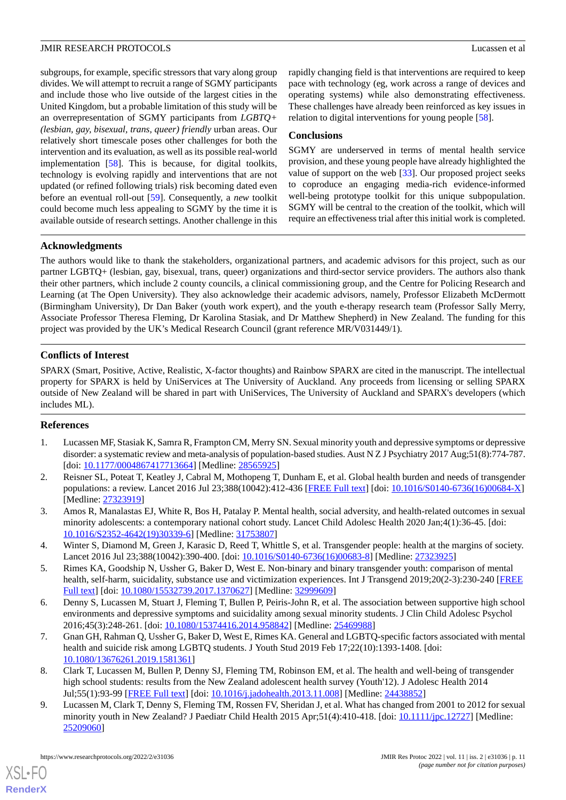subgroups, for example, specific stressors that vary along group divides. We will attempt to recruit a range of SGMY participants and include those who live outside of the largest cities in the United Kingdom, but a probable limitation of this study will be an overrepresentation of SGMY participants from *LGBTQ+ (lesbian, gay, bisexual, trans, queer) friendly* urban areas. Our relatively short timescale poses other challenges for both the intervention and its evaluation, as well as its possible real-world implementation [\[58](#page-13-3)]. This is because, for digital toolkits, technology is evolving rapidly and interventions that are not updated (or refined following trials) risk becoming dated even before an eventual roll-out [\[59](#page-13-4)]. Consequently, a *new* toolkit could become much less appealing to SGMY by the time it is available outside of research settings. Another challenge in this rapidly changing field is that interventions are required to keep pace with technology (eg, work across a range of devices and operating systems) while also demonstrating effectiveness. These challenges have already been reinforced as key issues in relation to digital interventions for young people [[58\]](#page-13-3).

#### **Conclusions**

SGMY are underserved in terms of mental health service provision, and these young people have already highlighted the value of support on the web [\[33](#page-12-1)]. Our proposed project seeks to coproduce an engaging media-rich evidence-informed well-being prototype toolkit for this unique subpopulation. SGMY will be central to the creation of the toolkit, which will require an effectiveness trial after this initial work is completed.

#### **Acknowledgments**

The authors would like to thank the stakeholders, organizational partners, and academic advisors for this project, such as our partner LGBTQ+ (lesbian, gay, bisexual, trans, queer) organizations and third-sector service providers. The authors also thank their other partners, which include 2 county councils, a clinical commissioning group, and the Centre for Policing Research and Learning (at The Open University). They also acknowledge their academic advisors, namely, Professor Elizabeth McDermott (Birmingham University), Dr Dan Baker (youth work expert), and the youth e-therapy research team (Professor Sally Merry, Associate Professor Theresa Fleming, Dr Karolina Stasiak, and Dr Matthew Shepherd) in New Zealand. The funding for this project was provided by the UK's Medical Research Council (grant reference MR/V031449/1).

#### **Conflicts of Interest**

SPARX (Smart, Positive, Active, Realistic, X-factor thoughts) and Rainbow SPARX are cited in the manuscript. The intellectual property for SPARX is held by UniServices at The University of Auckland. Any proceeds from licensing or selling SPARX outside of New Zealand will be shared in part with UniServices, The University of Auckland and SPARX's developers (which includes ML).

## <span id="page-10-1"></span><span id="page-10-0"></span>**References**

- 1. Lucassen MF, Stasiak K, Samra R, Frampton CM, Merry SN. Sexual minority youth and depressive symptoms or depressive disorder: a systematic review and meta-analysis of population-based studies. Aust N Z J Psychiatry 2017 Aug;51(8):774-787. [doi: [10.1177/0004867417713664](http://dx.doi.org/10.1177/0004867417713664)] [Medline: [28565925\]](http://www.ncbi.nlm.nih.gov/entrez/query.fcgi?cmd=Retrieve&db=PubMed&list_uids=28565925&dopt=Abstract)
- <span id="page-10-3"></span><span id="page-10-2"></span>2. Reisner SL, Poteat T, Keatley J, Cabral M, Mothopeng T, Dunham E, et al. Global health burden and needs of transgender populations: a review. Lancet 2016 Jul 23;388(10042):412-436 [\[FREE Full text\]](http://europepmc.org/abstract/MED/27323919) [doi: [10.1016/S0140-6736\(16\)00684-X](http://dx.doi.org/10.1016/S0140-6736(16)00684-X)] [Medline: [27323919](http://www.ncbi.nlm.nih.gov/entrez/query.fcgi?cmd=Retrieve&db=PubMed&list_uids=27323919&dopt=Abstract)]
- <span id="page-10-4"></span>3. Amos R, Manalastas EJ, White R, Bos H, Patalay P. Mental health, social adversity, and health-related outcomes in sexual minority adolescents: a contemporary national cohort study. Lancet Child Adolesc Health 2020 Jan;4(1):36-45. [doi: [10.1016/S2352-4642\(19\)30339-6\]](http://dx.doi.org/10.1016/S2352-4642(19)30339-6) [Medline: [31753807](http://www.ncbi.nlm.nih.gov/entrez/query.fcgi?cmd=Retrieve&db=PubMed&list_uids=31753807&dopt=Abstract)]
- <span id="page-10-5"></span>4. Winter S, Diamond M, Green J, Karasic D, Reed T, Whittle S, et al. Transgender people: health at the margins of society. Lancet 2016 Jul 23;388(10042):390-400. [doi: [10.1016/S0140-6736\(16\)00683-8](http://dx.doi.org/10.1016/S0140-6736(16)00683-8)] [Medline: [27323925\]](http://www.ncbi.nlm.nih.gov/entrez/query.fcgi?cmd=Retrieve&db=PubMed&list_uids=27323925&dopt=Abstract)
- <span id="page-10-6"></span>5. Rimes KA, Goodship N, Ussher G, Baker D, West E. Non-binary and binary transgender youth: comparison of mental health, self-harm, suicidality, substance use and victimization experiences. Int J Transgend 2019;20(2-3):230-240 [[FREE](http://europepmc.org/abstract/MED/32999609) [Full text\]](http://europepmc.org/abstract/MED/32999609) [doi: [10.1080/15532739.2017.1370627](http://dx.doi.org/10.1080/15532739.2017.1370627)] [Medline: [32999609](http://www.ncbi.nlm.nih.gov/entrez/query.fcgi?cmd=Retrieve&db=PubMed&list_uids=32999609&dopt=Abstract)]
- <span id="page-10-7"></span>6. Denny S, Lucassen M, Stuart J, Fleming T, Bullen P, Peiris-John R, et al. The association between supportive high school environments and depressive symptoms and suicidality among sexual minority students. J Clin Child Adolesc Psychol 2016;45(3):248-261. [doi: [10.1080/15374416.2014.958842\]](http://dx.doi.org/10.1080/15374416.2014.958842) [Medline: [25469988\]](http://www.ncbi.nlm.nih.gov/entrez/query.fcgi?cmd=Retrieve&db=PubMed&list_uids=25469988&dopt=Abstract)
- <span id="page-10-8"></span>7. Gnan GH, Rahman Q, Ussher G, Baker D, West E, Rimes KA. General and LGBTQ-specific factors associated with mental health and suicide risk among LGBTQ students. J Youth Stud 2019 Feb 17;22(10):1393-1408. [doi: [10.1080/13676261.2019.1581361\]](http://dx.doi.org/10.1080/13676261.2019.1581361)
- 8. Clark T, Lucassen M, Bullen P, Denny SJ, Fleming TM, Robinson EM, et al. The health and well-being of transgender high school students: results from the New Zealand adolescent health survey (Youth'12). J Adolesc Health 2014 Jul;55(1):93-99 [[FREE Full text\]](https://linkinghub.elsevier.com/retrieve/pii/S1054-139X(13)00753-2) [doi: [10.1016/j.jadohealth.2013.11.008\]](http://dx.doi.org/10.1016/j.jadohealth.2013.11.008) [Medline: [24438852\]](http://www.ncbi.nlm.nih.gov/entrez/query.fcgi?cmd=Retrieve&db=PubMed&list_uids=24438852&dopt=Abstract)
- 9. Lucassen M, Clark T, Denny S, Fleming TM, Rossen FV, Sheridan J, et al. What has changed from 2001 to 2012 for sexual minority youth in New Zealand? J Paediatr Child Health 2015 Apr;51(4):410-418. [doi: [10.1111/jpc.12727\]](http://dx.doi.org/10.1111/jpc.12727) [Medline: [25209060](http://www.ncbi.nlm.nih.gov/entrez/query.fcgi?cmd=Retrieve&db=PubMed&list_uids=25209060&dopt=Abstract)]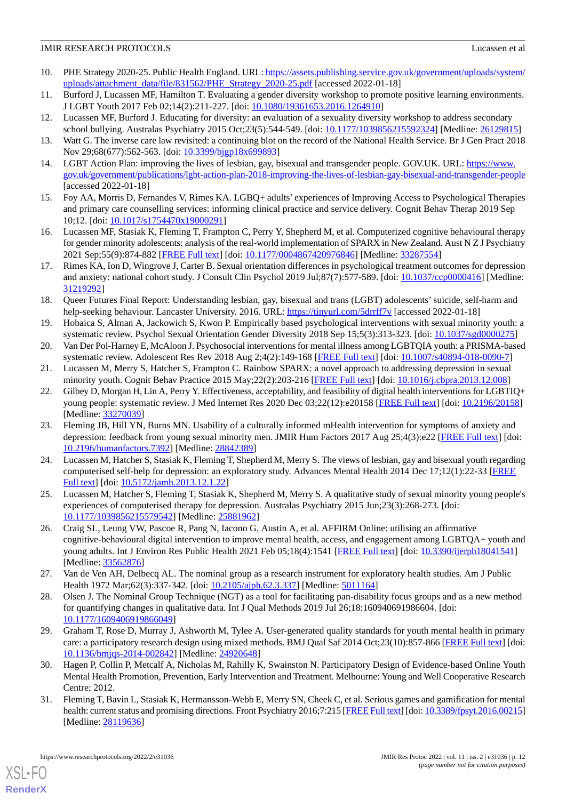- <span id="page-11-0"></span>10. PHE Strategy 2020-25. Public Health England. URL: [https://assets.publishing.service.gov.uk/government/uploads/system/](https://assets.publishing.service.gov.uk/government/uploads/system/uploads/attachment_data/file/831562/PHE_Strategy_2020-25.pdf) [uploads/attachment\\_data/file/831562/PHE\\_Strategy\\_2020-25.pdf](https://assets.publishing.service.gov.uk/government/uploads/system/uploads/attachment_data/file/831562/PHE_Strategy_2020-25.pdf) [accessed 2022-01-18]
- <span id="page-11-2"></span><span id="page-11-1"></span>11. Burford J, Lucassen MF, Hamilton T. Evaluating a gender diversity workshop to promote positive learning environments. J LGBT Youth 2017 Feb 02;14(2):211-227. [doi: [10.1080/19361653.2016.1264910](http://dx.doi.org/10.1080/19361653.2016.1264910)]
- <span id="page-11-3"></span>12. Lucassen MF, Burford J. Educating for diversity: an evaluation of a sexuality diversity workshop to address secondary school bullying. Australas Psychiatry 2015 Oct;23(5):544-549. [doi: [10.1177/1039856215592324](http://dx.doi.org/10.1177/1039856215592324)] [Medline: [26129815](http://www.ncbi.nlm.nih.gov/entrez/query.fcgi?cmd=Retrieve&db=PubMed&list_uids=26129815&dopt=Abstract)]
- <span id="page-11-4"></span>13. Watt G. The inverse care law revisited: a continuing blot on the record of the National Health Service. Br J Gen Pract 2018 Nov 29;68(677):562-563. [doi: [10.3399/bjgp18x699893](http://dx.doi.org/10.3399/bjgp18x699893)]
- <span id="page-11-5"></span>14. LGBT Action Plan: improving the lives of lesbian, gay, bisexual and transgender people. GOV.UK. URL: [https://www.](https://www.gov.uk/government/publications/lgbt-action-plan-2018-improving-the-lives-of-lesbian-gay-bisexual-and-transgender-people) [gov.uk/government/publications/lgbt-action-plan-2018-improving-the-lives-of-lesbian-gay-bisexual-and-transgender-people](https://www.gov.uk/government/publications/lgbt-action-plan-2018-improving-the-lives-of-lesbian-gay-bisexual-and-transgender-people) [accessed 2022-01-18]
- 15. Foy AA, Morris D, Fernandes V, Rimes KA. LGBQ+ adults' experiences of Improving Access to Psychological Therapies and primary care counselling services: informing clinical practice and service delivery. Cognit Behav Therap 2019 Sep 10;12. [doi: [10.1017/s1754470x19000291\]](http://dx.doi.org/10.1017/s1754470x19000291)
- <span id="page-11-6"></span>16. Lucassen MF, Stasiak K, Fleming T, Frampton C, Perry Y, Shepherd M, et al. Computerized cognitive behavioural therapy for gender minority adolescents: analysis of the real-world implementation of SPARX in New Zealand. Aust N Z J Psychiatry 2021 Sep;55(9):874-882 [\[FREE Full text\]](https://journals.sagepub.com/doi/10.1177/0004867420976846?url_ver=Z39.88-2003&rfr_id=ori:rid:crossref.org&rfr_dat=cr_pub%3dpubmed) [doi: [10.1177/0004867420976846](http://dx.doi.org/10.1177/0004867420976846)] [Medline: [33287554](http://www.ncbi.nlm.nih.gov/entrez/query.fcgi?cmd=Retrieve&db=PubMed&list_uids=33287554&dopt=Abstract)]
- <span id="page-11-7"></span>17. Rimes KA, Ion D, Wingrove J, Carter B. Sexual orientation differences in psychological treatment outcomes for depression and anxiety: national cohort study. J Consult Clin Psychol 2019 Jul;87(7):577-589. [doi: [10.1037/ccp0000416](http://dx.doi.org/10.1037/ccp0000416)] [Medline: [31219292](http://www.ncbi.nlm.nih.gov/entrez/query.fcgi?cmd=Retrieve&db=PubMed&list_uids=31219292&dopt=Abstract)]
- <span id="page-11-9"></span><span id="page-11-8"></span>18. Queer Futures Final Report: Understanding lesbian, gay, bisexual and trans (LGBT) adolescents'suicide, self-harm and help-seeking behaviour. Lancaster University. 2016. URL:<https://tinyurl.com/5drrff7v> [accessed 2022-01-18]
- <span id="page-11-10"></span>19. Hobaica S, Alman A, Jackowich S, Kwon P. Empirically based psychological interventions with sexual minority youth: a systematic review. Psychol Sexual Orientation Gender Diversity 2018 Sep 15;5(3):313-323. [doi: [10.1037/sgd0000275\]](http://dx.doi.org/10.1037/sgd0000275)
- <span id="page-11-11"></span>20. Van Der Pol-Harney E, McAloon J. Psychosocial interventions for mental illness among LGBTQIA youth: a PRISMA-based systematic review. Adolescent Res Rev 2018 Aug 2;4(2):149-168 [\[FREE Full text\]](https://doi.org/10.1007/s40894-018-0090-7) [doi: [10.1007/s40894-018-0090-7](http://dx.doi.org/10.1007/s40894-018-0090-7)]
- 21. Lucassen M, Merry S, Hatcher S, Frampton C. Rainbow SPARX: a novel approach to addressing depression in sexual minority youth. Cognit Behav Practice 2015 May; 22(2): 203-216 [[FREE Full text](https://doi.org/10.1016/j.cbpra.2013.12.008)] [doi: [10.1016/j.cbpra.2013.12.008\]](http://dx.doi.org/10.1016/j.cbpra.2013.12.008)
- <span id="page-11-12"></span>22. Gilbey D, Morgan H, Lin A, Perry Y. Effectiveness, acceptability, and feasibility of digital health interventions for LGBTIQ+ young people: systematic review. J Med Internet Res 2020 Dec 03;22(12):e20158 [[FREE Full text](https://www.jmir.org/2020/12/e20158/)] [doi: [10.2196/20158\]](http://dx.doi.org/10.2196/20158) [Medline: [33270039](http://www.ncbi.nlm.nih.gov/entrez/query.fcgi?cmd=Retrieve&db=PubMed&list_uids=33270039&dopt=Abstract)]
- <span id="page-11-13"></span>23. Fleming JB, Hill YN, Burns MN. Usability of a culturally informed mHealth intervention for symptoms of anxiety and depression: feedback from young sexual minority men. JMIR Hum Factors 2017 Aug 25;4(3):e22 [[FREE Full text](https://humanfactors.jmir.org/2017/3/e22/)] [doi: [10.2196/humanfactors.7392\]](http://dx.doi.org/10.2196/humanfactors.7392) [Medline: [28842389](http://www.ncbi.nlm.nih.gov/entrez/query.fcgi?cmd=Retrieve&db=PubMed&list_uids=28842389&dopt=Abstract)]
- <span id="page-11-15"></span><span id="page-11-14"></span>24. Lucassen M, Hatcher S, Stasiak K, Fleming T, Shepherd M, Merry S. The views of lesbian, gay and bisexual youth regarding computerised self-help for depression: an exploratory study. Advances Mental Health 2014 Dec 17;12(1):22-33 [\[FREE](https://doi.org/10.5172/jamh.2013.12.1.22) [Full text\]](https://doi.org/10.5172/jamh.2013.12.1.22) [doi: [10.5172/jamh.2013.12.1.22\]](http://dx.doi.org/10.5172/jamh.2013.12.1.22)
- 25. Lucassen M, Hatcher S, Fleming T, Stasiak K, Shepherd M, Merry S. A qualitative study of sexual minority young people's experiences of computerised therapy for depression. Australas Psychiatry 2015 Jun;23(3):268-273. [doi: [10.1177/1039856215579542\]](http://dx.doi.org/10.1177/1039856215579542) [Medline: [25881962\]](http://www.ncbi.nlm.nih.gov/entrez/query.fcgi?cmd=Retrieve&db=PubMed&list_uids=25881962&dopt=Abstract)
- <span id="page-11-17"></span><span id="page-11-16"></span>26. Craig SL, Leung VW, Pascoe R, Pang N, Iacono G, Austin A, et al. AFFIRM Online: utilising an affirmative cognitive-behavioural digital intervention to improve mental health, access, and engagement among LGBTQA+ youth and young adults. Int J Environ Res Public Health 2021 Feb 05;18(4):1541 [[FREE Full text](https://www.mdpi.com/resolver?pii=ijerph18041541)] [doi: [10.3390/ijerph18041541](http://dx.doi.org/10.3390/ijerph18041541)] [Medline: [33562876](http://www.ncbi.nlm.nih.gov/entrez/query.fcgi?cmd=Retrieve&db=PubMed&list_uids=33562876&dopt=Abstract)]
- <span id="page-11-18"></span>27. Van de Ven AH, Delbecq AL. The nominal group as a research instrument for exploratory health studies. Am J Public Health 1972 Mar;62(3):337-342. [doi: [10.2105/ajph.62.3.337\]](http://dx.doi.org/10.2105/ajph.62.3.337) [Medline: [5011164](http://www.ncbi.nlm.nih.gov/entrez/query.fcgi?cmd=Retrieve&db=PubMed&list_uids=5011164&dopt=Abstract)]
- <span id="page-11-19"></span>28. Olsen J. The Nominal Group Technique (NGT) as a tool for facilitating pan-disability focus groups and as a new method for quantifying changes in qualitative data. Int J Qual Methods 2019 Jul 26;18:160940691986604. [doi: [10.1177/1609406919866049\]](http://dx.doi.org/10.1177/1609406919866049)
- <span id="page-11-20"></span>29. Graham T, Rose D, Murray J, Ashworth M, Tylee A. User-generated quality standards for youth mental health in primary care: a participatory research design using mixed methods. BMJ Qual Saf 2014 Oct;23(10):857-866 [\[FREE Full text](http://qualitysafety.bmj.com/lookup/pmidlookup?view=long&pmid=24920648)] [doi: [10.1136/bmjqs-2014-002842\]](http://dx.doi.org/10.1136/bmjqs-2014-002842) [Medline: [24920648\]](http://www.ncbi.nlm.nih.gov/entrez/query.fcgi?cmd=Retrieve&db=PubMed&list_uids=24920648&dopt=Abstract)
- 30. Hagen P, Collin P, Metcalf A, Nicholas M, Rahilly K, Swainston N. Participatory Design of Evidence-based Online Youth Mental Health Promotion, Prevention, Early Intervention and Treatment. Melbourne: Young and Well Cooperative Research Centre; 2012.
- 31. Fleming T, Bavin L, Stasiak K, Hermansson-Webb E, Merry SN, Cheek C, et al. Serious games and gamification for mental health: current status and promising directions. Front Psychiatry 2016;7:215 [[FREE Full text\]](https://doi.org/10.3389/fpsyt.2016.00215) [doi: [10.3389/fpsyt.2016.00215\]](http://dx.doi.org/10.3389/fpsyt.2016.00215) [Medline: [28119636](http://www.ncbi.nlm.nih.gov/entrez/query.fcgi?cmd=Retrieve&db=PubMed&list_uids=28119636&dopt=Abstract)]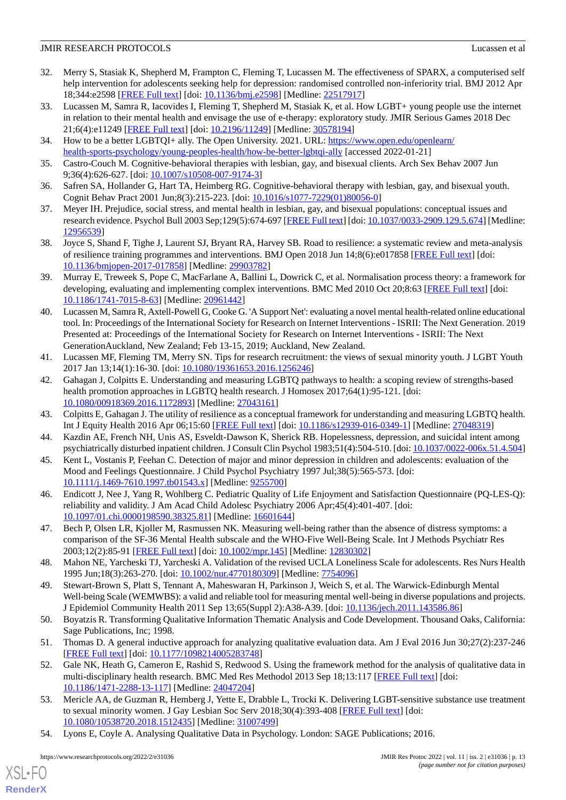- <span id="page-12-0"></span>32. Merry S, Stasiak K, Shepherd M, Frampton C, Fleming T, Lucassen M. The effectiveness of SPARX, a computerised self help intervention for adolescents seeking help for depression: randomised controlled non-inferiority trial. BMJ 2012 Apr 18;344:e2598 [\[FREE Full text\]](http://www.bmj.com/lookup/pmidlookup?view=long&pmid=22517917) [doi: [10.1136/bmj.e2598\]](http://dx.doi.org/10.1136/bmj.e2598) [Medline: [22517917](http://www.ncbi.nlm.nih.gov/entrez/query.fcgi?cmd=Retrieve&db=PubMed&list_uids=22517917&dopt=Abstract)]
- <span id="page-12-1"></span>33. Lucassen M, Samra R, Iacovides I, Fleming T, Shepherd M, Stasiak K, et al. How LGBT+ young people use the internet in relation to their mental health and envisage the use of e-therapy: exploratory study. JMIR Serious Games 2018 Dec 21;6(4):e11249 [\[FREE Full text](https://games.jmir.org/2018/4/e11249/)] [doi: [10.2196/11249\]](http://dx.doi.org/10.2196/11249) [Medline: [30578194\]](http://www.ncbi.nlm.nih.gov/entrez/query.fcgi?cmd=Retrieve&db=PubMed&list_uids=30578194&dopt=Abstract)
- <span id="page-12-3"></span><span id="page-12-2"></span>34. How to be a better LGBTQI+ ally. The Open University. 2021. URL: [https://www.open.edu/openlearn/](https://www.open.edu/openlearn/health-sports-psychology/young-peoples-health/how-be-better-lgbtqi-ally) [health-sports-psychology/young-peoples-health/how-be-better-lgbtqi-ally](https://www.open.edu/openlearn/health-sports-psychology/young-peoples-health/how-be-better-lgbtqi-ally) [accessed 2022-01-21]
- <span id="page-12-4"></span>35. Castro-Couch M. Cognitive-behavioral therapies with lesbian, gay, and bisexual clients. Arch Sex Behav 2007 Jun 9;36(4):626-627. [doi: [10.1007/s10508-007-9174-3\]](http://dx.doi.org/10.1007/s10508-007-9174-3)
- <span id="page-12-5"></span>36. Safren SA, Hollander G, Hart TA, Heimberg RG. Cognitive-behavioral therapy with lesbian, gay, and bisexual youth. Cognit Behav Pract 2001 Jun;8(3):215-223. [doi: [10.1016/s1077-7229\(01\)80056-0\]](http://dx.doi.org/10.1016/s1077-7229(01)80056-0)
- <span id="page-12-6"></span>37. Meyer IH. Prejudice, social stress, and mental health in lesbian, gay, and bisexual populations: conceptual issues and research evidence. Psychol Bull 2003 Sep;129(5):674-697 [[FREE Full text\]](http://europepmc.org/abstract/MED/12956539) [doi: [10.1037/0033-2909.129.5.674](http://dx.doi.org/10.1037/0033-2909.129.5.674)] [Medline: [12956539](http://www.ncbi.nlm.nih.gov/entrez/query.fcgi?cmd=Retrieve&db=PubMed&list_uids=12956539&dopt=Abstract)]
- <span id="page-12-7"></span>38. Joyce S, Shand F, Tighe J, Laurent SJ, Bryant RA, Harvey SB. Road to resilience: a systematic review and meta-analysis of resilience training programmes and interventions. BMJ Open 2018 Jun 14;8(6):e017858 [[FREE Full text](https://bmjopen.bmj.com/lookup/pmidlookup?view=long&pmid=29903782)] [doi: [10.1136/bmjopen-2017-017858\]](http://dx.doi.org/10.1136/bmjopen-2017-017858) [Medline: [29903782](http://www.ncbi.nlm.nih.gov/entrez/query.fcgi?cmd=Retrieve&db=PubMed&list_uids=29903782&dopt=Abstract)]
- <span id="page-12-8"></span>39. Murray E, Treweek S, Pope C, MacFarlane A, Ballini L, Dowrick C, et al. Normalisation process theory: a framework for developing, evaluating and implementing complex interventions. BMC Med 2010 Oct 20;8:63 [[FREE Full text\]](https://bmcmedicine.biomedcentral.com/articles/10.1186/1741-7015-8-63) [doi: [10.1186/1741-7015-8-63\]](http://dx.doi.org/10.1186/1741-7015-8-63) [Medline: [20961442\]](http://www.ncbi.nlm.nih.gov/entrez/query.fcgi?cmd=Retrieve&db=PubMed&list_uids=20961442&dopt=Abstract)
- <span id="page-12-9"></span>40. Lucassen M, Samra R, Axtell-Powell G, Cooke G. 'A Support Net': evaluating a novel mental health-related online educational tool. In: Proceedings of the International Society for Research on Internet Interventions - ISRII: The Next Generation. 2019 Presented at: Proceedings of the International Society for Research on Internet Interventions - ISRII: The Next GenerationAuckland, New Zealand; Feb 13-15, 2019; Auckland, New Zealand.
- <span id="page-12-10"></span>41. Lucassen MF, Fleming TM, Merry SN. Tips for research recruitment: the views of sexual minority youth. J LGBT Youth 2017 Jan 13;14(1):16-30. [doi: [10.1080/19361653.2016.1256246](http://dx.doi.org/10.1080/19361653.2016.1256246)]
- <span id="page-12-12"></span><span id="page-12-11"></span>42. Gahagan J, Colpitts E. Understanding and measuring LGBTQ pathways to health: a scoping review of strengths-based health promotion approaches in LGBTQ health research. J Homosex 2017;64(1):95-121. [doi: [10.1080/00918369.2016.1172893\]](http://dx.doi.org/10.1080/00918369.2016.1172893) [Medline: [27043161\]](http://www.ncbi.nlm.nih.gov/entrez/query.fcgi?cmd=Retrieve&db=PubMed&list_uids=27043161&dopt=Abstract)
- <span id="page-12-13"></span>43. Colpitts E, Gahagan J. The utility of resilience as a conceptual framework for understanding and measuring LGBTQ health. Int J Equity Health 2016 Apr 06;15:60 [[FREE Full text](https://equityhealthj.biomedcentral.com/articles/10.1186/s12939-016-0349-1)] [doi: [10.1186/s12939-016-0349-1\]](http://dx.doi.org/10.1186/s12939-016-0349-1) [Medline: [27048319](http://www.ncbi.nlm.nih.gov/entrez/query.fcgi?cmd=Retrieve&db=PubMed&list_uids=27048319&dopt=Abstract)]
- <span id="page-12-14"></span>44. Kazdin AE, French NH, Unis AS, Esveldt-Dawson K, Sherick RB. Hopelessness, depression, and suicidal intent among psychiatrically disturbed inpatient children. J Consult Clin Psychol 1983;51(4):504-510. [doi: [10.1037/0022-006x.51.4.504\]](http://dx.doi.org/10.1037/0022-006x.51.4.504)
- <span id="page-12-15"></span>45. Kent L, Vostanis P, Feehan C. Detection of major and minor depression in children and adolescents: evaluation of the Mood and Feelings Questionnaire. J Child Psychol Psychiatry 1997 Jul;38(5):565-573. [doi: [10.1111/j.1469-7610.1997.tb01543.x\]](http://dx.doi.org/10.1111/j.1469-7610.1997.tb01543.x) [Medline: [9255700](http://www.ncbi.nlm.nih.gov/entrez/query.fcgi?cmd=Retrieve&db=PubMed&list_uids=9255700&dopt=Abstract)]
- <span id="page-12-16"></span>46. Endicott J, Nee J, Yang R, Wohlberg C. Pediatric Quality of Life Enjoyment and Satisfaction Questionnaire (PQ-LES-Q): reliability and validity. J Am Acad Child Adolesc Psychiatry 2006 Apr;45(4):401-407. [doi: [10.1097/01.chi.0000198590.38325.81](http://dx.doi.org/10.1097/01.chi.0000198590.38325.81)] [Medline: [16601644\]](http://www.ncbi.nlm.nih.gov/entrez/query.fcgi?cmd=Retrieve&db=PubMed&list_uids=16601644&dopt=Abstract)
- <span id="page-12-17"></span>47. Bech P, Olsen LR, Kjoller M, Rasmussen NK. Measuring well-being rather than the absence of distress symptoms: a comparison of the SF-36 Mental Health subscale and the WHO-Five Well-Being Scale. Int J Methods Psychiatr Res 2003;12(2):85-91 [[FREE Full text](http://europepmc.org/abstract/MED/12830302)] [doi: [10.1002/mpr.145\]](http://dx.doi.org/10.1002/mpr.145) [Medline: [12830302\]](http://www.ncbi.nlm.nih.gov/entrez/query.fcgi?cmd=Retrieve&db=PubMed&list_uids=12830302&dopt=Abstract)
- <span id="page-12-18"></span>48. Mahon NE, Yarcheski TJ, Yarcheski A. Validation of the revised UCLA Loneliness Scale for adolescents. Res Nurs Health 1995 Jun;18(3):263-270. [doi: [10.1002/nur.4770180309](http://dx.doi.org/10.1002/nur.4770180309)] [Medline: [7754096](http://www.ncbi.nlm.nih.gov/entrez/query.fcgi?cmd=Retrieve&db=PubMed&list_uids=7754096&dopt=Abstract)]
- <span id="page-12-20"></span><span id="page-12-19"></span>49. Stewart-Brown S, Platt S, Tennant A, Maheswaran H, Parkinson J, Weich S, et al. The Warwick-Edinburgh Mental Well-being Scale (WEMWBS): a valid and reliable tool for measuring mental well-being in diverse populations and projects. J Epidemiol Community Health 2011 Sep 13;65(Suppl 2):A38-A39. [doi: [10.1136/jech.2011.143586.86](http://dx.doi.org/10.1136/jech.2011.143586.86)]
- <span id="page-12-21"></span>50. Boyatzis R. Transforming Qualitative Information Thematic Analysis and Code Development. Thousand Oaks, California: Sage Publications, Inc; 1998.
- 51. Thomas D. A general inductive approach for analyzing qualitative evaluation data. Am J Eval 2016 Jun 30;27(2):237-246 [[FREE Full text](https://doi.org/10.1177/1098214005283748)] [doi: [10.1177/1098214005283748\]](http://dx.doi.org/10.1177/1098214005283748)
- <span id="page-12-22"></span>52. Gale NK, Heath G, Cameron E, Rashid S, Redwood S. Using the framework method for the analysis of qualitative data in multi-disciplinary health research. BMC Med Res Methodol 2013 Sep 18;13:117 [[FREE Full text](https://bmcmedresmethodol.biomedcentral.com/articles/10.1186/1471-2288-13-117)] [doi: [10.1186/1471-2288-13-117\]](http://dx.doi.org/10.1186/1471-2288-13-117) [Medline: [24047204\]](http://www.ncbi.nlm.nih.gov/entrez/query.fcgi?cmd=Retrieve&db=PubMed&list_uids=24047204&dopt=Abstract)
- 53. Mericle AA, de Guzman R, Hemberg J, Yette E, Drabble L, Trocki K. Delivering LGBT-sensitive substance use treatment to sexual minority women. J Gay Lesbian Soc Serv 2018;30(4):393-408 [\[FREE Full text\]](http://europepmc.org/abstract/MED/31007499) [doi: [10.1080/10538720.2018.1512435\]](http://dx.doi.org/10.1080/10538720.2018.1512435) [Medline: [31007499\]](http://www.ncbi.nlm.nih.gov/entrez/query.fcgi?cmd=Retrieve&db=PubMed&list_uids=31007499&dopt=Abstract)
- 54. Lyons E, Coyle A. Analysing Qualitative Data in Psychology. London: SAGE Publications; 2016.